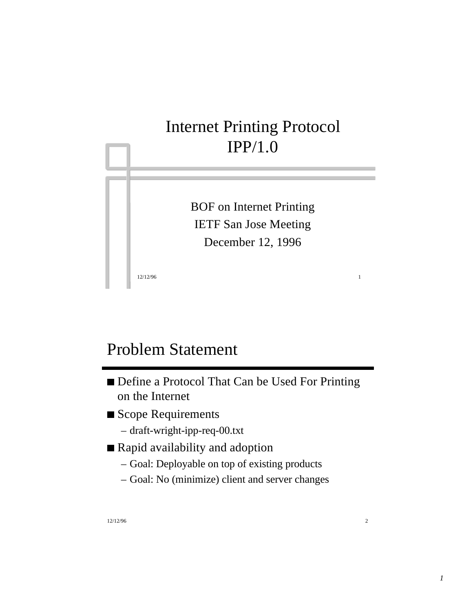# Internet Printing Protocol IPP/1.0

BOF on Internet Printing IETF San Jose Meeting December 12, 1996

12/12/96 1

## Problem Statement

- Define a Protocol That Can be Used For Printing on the Internet
- Scope Requirements
	- draft-wright-ipp-req-00.txt
- Rapid availability and adoption
	- Goal: Deployable on top of existing products
	- Goal: No (minimize) client and server changes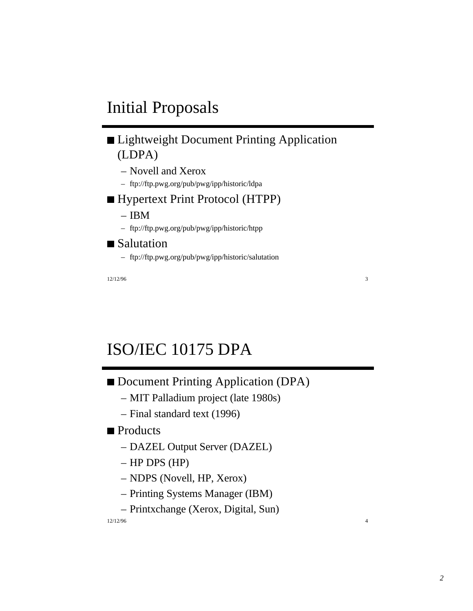# Initial Proposals

### **Lightweight Document Printing Application** (LDPA)

- Novell and Xerox
- ftp://ftp.pwg.org/pub/pwg/ipp/historic/ldpa
- Hypertext Print Protocol (HTPP)
	- IBM
	- ftp://ftp.pwg.org/pub/pwg/ipp/historic/htpp
- Salutation
	- ftp://ftp.pwg.org/pub/pwg/ipp/historic/salutation

12/12/96 3

# ISO/IEC 10175 DPA

- Document Printing Application (DPA)
	- MIT Palladium project (late 1980s)
	- Final standard text (1996)

### Products

- DAZEL Output Server (DAZEL)
- HP DPS (HP)
- NDPS (Novell, HP, Xerox)
- Printing Systems Manager (IBM)
- Printxchange (Xerox, Digital, Sun)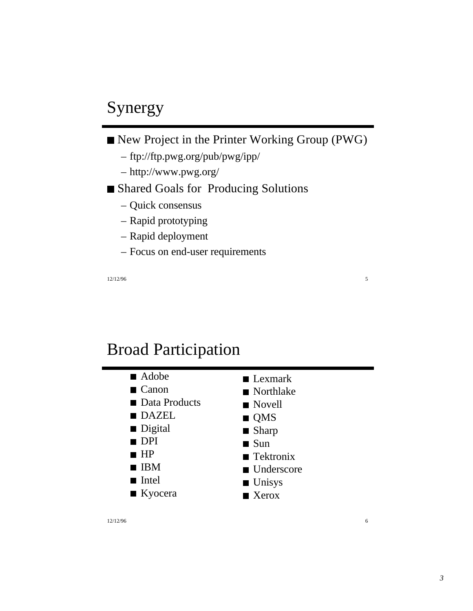# Synergy

- New Project in the Printer Working Group (PWG)
	- ftp://ftp.pwg.org/pub/pwg/ipp/
	- http://www.pwg.org/
- Shared Goals for Producing Solutions
	- Quick consensus
	- Rapid prototyping
	- Rapid deployment
	- Focus on end-user requirements

12/12/96 5

### Broad Participation

- Adobe
- Canon
- Data Products
- **DAZEL**
- Digital
- DPI
- $HP$
- **IBM**
- Intel
- Kyocera

■ Northlake Novell **QMS** 

■ Lexmark

- Sharp
- $\blacksquare$  Sun
- Tektronix
- 
- Underscore
- **Unisys**
- Xerox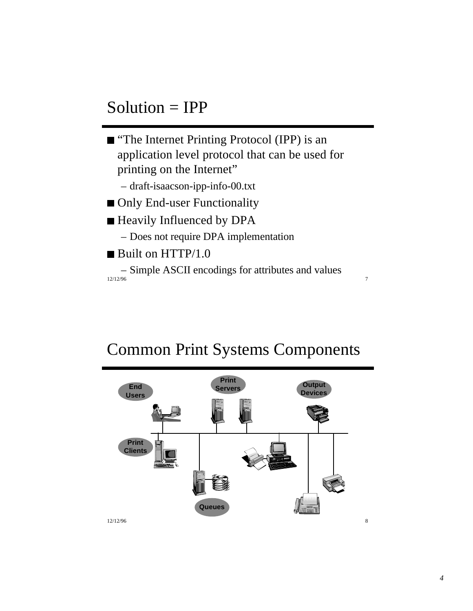## Solution = IPP



12/12/96 7 – Simple ASCII encodings for attributes and values

## Common Print Systems Components

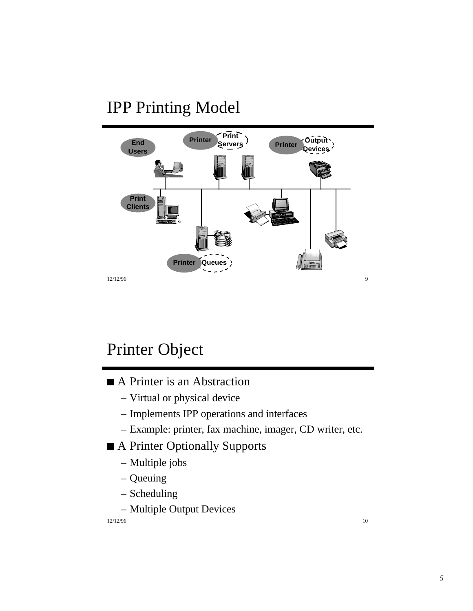# IPP Printing Model



# Printer Object

- A Printer is an Abstraction
	- Virtual or physical device
	- Implements IPP operations and interfaces
	- Example: printer, fax machine, imager, CD writer, etc.
- A Printer Optionally Supports
	- Multiple jobs
	- Queuing
	- Scheduling
	- Multiple Output Devices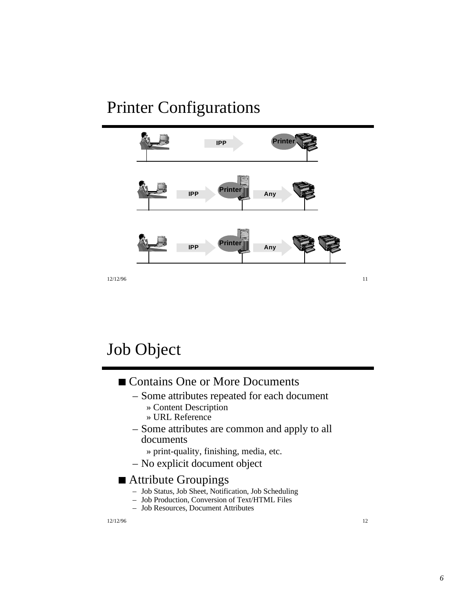## Printer Configurations



# Job Object

### ■ Contains One or More Documents

- Some attributes repeated for each document
	- » Content Description
	- » URL Reference
- Some attributes are common and apply to all documents
	- » print-quality, finishing, media, etc.
- No explicit document object

#### ■ Attribute Groupings

- Job Status, Job Sheet, Notification, Job Scheduling
- Job Production, Conversion of Text/HTML Files
- Job Resources, Document Attributes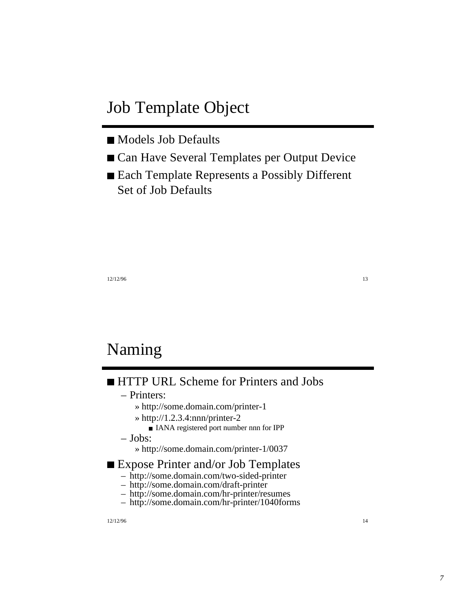## Job Template Object

- Models Job Defaults
- Can Have Several Templates per Output Device
- Each Template Represents a Possibly Different Set of Job Defaults

13<sup>1</sup>/<sub>12</sub>/12/96

## Naming

### **HTTP URL Scheme for Printers and Jobs**

- Printers:
	- » http://some.domain.com/printer-1
	- » http://1.2.3.4:nnn/printer-2
		- IANA registered port number nnn for IPP
- Jobs:
	- » http://some.domain.com/printer-1/0037

#### ■ Expose Printer and/or Job Templates

- http://some.domain.com/two-sided-printer
- http://some.domain.com/draft-printer
- http://some.domain.com/hr-printer/resumes
- http://some.domain.com/hr-printer/1040forms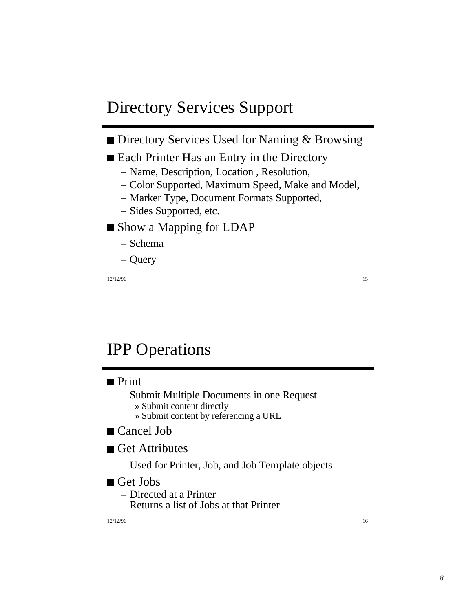## Directory Services Support

### Directory Services Used for Naming & Browsing

#### Each Printer Has an Entry in the Directory

- Name, Description, Location , Resolution,
- Color Supported, Maximum Speed, Make and Model,
- Marker Type, Document Formats Supported,
- Sides Supported, etc.

### ■ Show a Mapping for LDAP

- Schema
- Query

15 12/12/96 15

# IPP Operations

#### **Print**

- Submit Multiple Documents in one Request » Submit content directly
	- » Submit content by referencing a URL

#### ■ Cancel Job

Get Attributes

– Used for Printer, Job, and Job Template objects

#### ■ Get Jobs

- Directed at a Printer
- Returns a list of Jobs at that Printer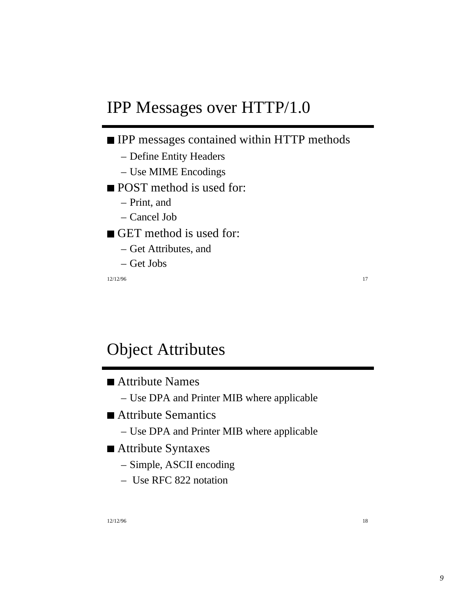## IPP Messages over HTTP/1.0

### **IPP** messages contained within HTTP methods

- Define Entity Headers
- Use MIME Encodings
- **POST** method is used for:
	- Print, and
	- Cancel Job

### GET method is used for:

- Get Attributes, and
- Get Jobs

12/12/96 **17** 

## Object Attributes

- Attribute Names
	- Use DPA and Printer MIB where applicable
- Attribute Semantics
	- Use DPA and Printer MIB where applicable
- Attribute Syntaxes
	- Simple, ASCII encoding
	- Use RFC 822 notation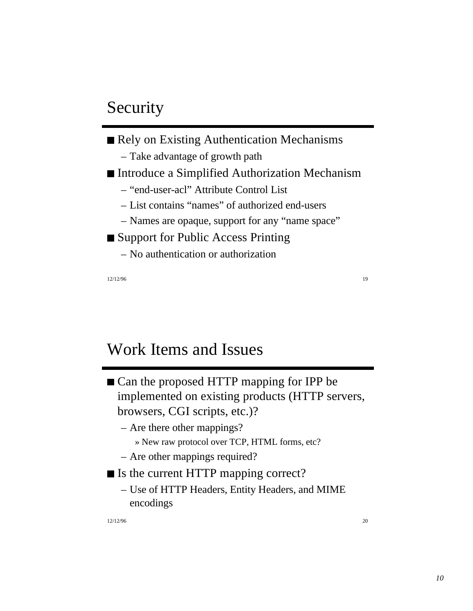## Security

Rely on Existing Authentication Mechanisms – Take advantage of growth path ■ Introduce a Simplified Authorization Mechanism – "end-user-acl" Attribute Control List – List contains "names" of authorized end-users – Names are opaque, support for any "name space" ■ Support for Public Access Printing – No authentication or authorization

12/12/96 19

## Work Items and Issues

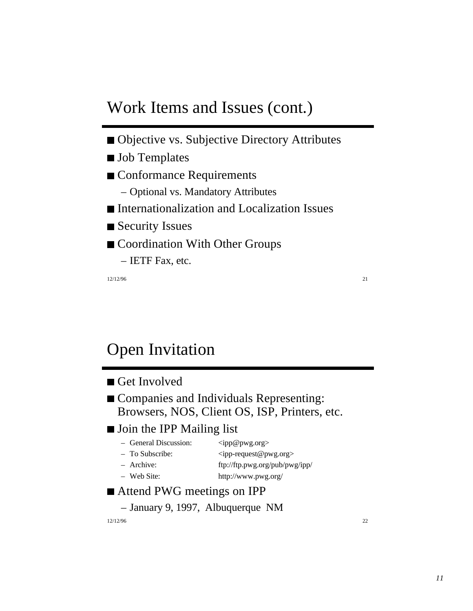## Work Items and Issues (cont.)

- Objective vs. Subjective Directory Attributes
- **Job Templates**
- Conformance Requirements
	- Optional vs. Mandatory Attributes
- Internationalization and Localization Issues
- Security Issues
- Coordination With Other Groups
	- IETF Fax, etc.

12/12/96 21

# Open Invitation

#### Get Involved

**Companies and Individuals Representing:** Browsers, NOS, Client OS, ISP, Printers, etc.

#### **Join the IPP Mailing list**

| - General Discussion: | $\langle$ ipp@pwg.org>         |
|-----------------------|--------------------------------|
| - To Subscribe:       | $\langle$ ipp-request@pwg.org> |
| - Archive:            | ftp://ftp.pwg.org/pub/pwg/ipp/ |
| $-$ Web Site:         | http://www.pwg.org/            |

### ■ Attend PWG meetings on IPP

– January 9, 1997, Albuquerque NM